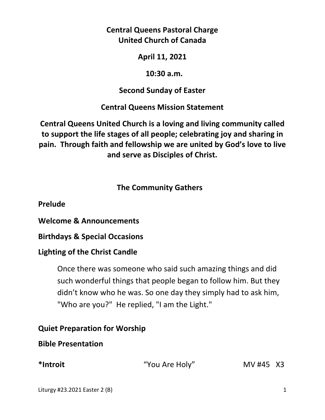# **Central Queens Pastoral Charge United Church of Canada**

# **April 11, 2021**

#### **10:30 a.m.**

# **Second Sunday of Easter**

# **Central Queens Mission Statement**

**Central Queens United Church is a loving and living community called to support the life stages of all people; celebrating joy and sharing in pain. Through faith and fellowship we are united by God's love to live and serve as Disciples of Christ.**

# **The Community Gathers**

**Prelude** 

**Welcome & Announcements** 

**Birthdays & Special Occasions**

## **Lighting of the Christ Candle**

Once there was someone who said such amazing things and did such wonderful things that people began to follow him. But they didn't know who he was. So one day they simply had to ask him, "Who are you?" He replied, "I am the Light."

# **Quiet Preparation for Worship**

## **Bible Presentation**

**\*Introit** "You Are Holy" MV #45X3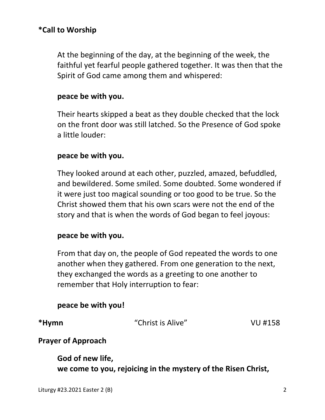At the beginning of the day, at the beginning of the week, the faithful yet fearful people gathered together. It was then that the Spirit of God came among them and whispered:

#### **peace be with you.**

 Their hearts skipped a beat as they double checked that the lock on the front door was still latched. So the Presence of God spoke a little louder:

#### **peace be with you.**

 They looked around at each other, puzzled, amazed, befuddled, and bewildered. Some smiled. Some doubted. Some wondered if it were just too magical sounding or too good to be true. So the Christ showed them that his own scars were not the end of the story and that is when the words of God began to feel joyous:

#### **peace be with you.**

 From that day on, the people of God repeated the words to one another when they gathered. From one generation to the next, they exchanged the words as a greeting to one another to remember that Holy interruption to fear:

## **peace be with you!**

**\*Hymn** "Christ is Alive" VU #158

## **Prayer of Approach**

 **God of new life, we come to you, rejoicing in the mystery of the Risen Christ,**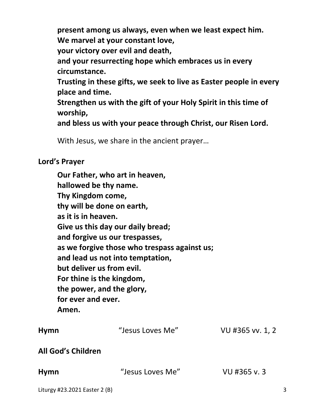**present among us always, even when we least expect him. We marvel at your constant love,** 

 **your victory over evil and death,** 

 **and your resurrecting hope which embraces us in every circumstance.** 

 **Trusting in these gifts, we seek to live as Easter people in every place and time.** 

 **Strengthen us with the gift of your Holy Spirit in this time of worship,** 

 **and bless us with your peace through Christ, our Risen Lord.** 

With Jesus, we share in the ancient prayer…

#### **Lord's Prayer**

**Our Father, who art in heaven, hallowed be thy name. Thy Kingdom come, thy will be done on earth, as it is in heaven. Give us this day our daily bread; and forgive us our trespasses, as we forgive those who trespass against us; and lead us not into temptation, but deliver us from evil. For thine is the kingdom, the power, and the glory, for ever and ever. Amen. Hymn** "Jesus Loves Me" VU #365 vv. 1, 2 **All God's Children** 

| <b>Hymn</b> | "Jesus Loves Me" | VU #365 v.3 |
|-------------|------------------|-------------|
|             |                  |             |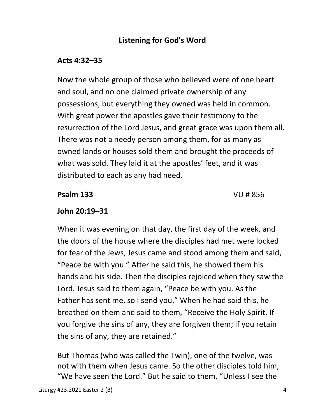# **Listening for God's Word**

# **Acts 4:32–35**

 Now the whole group of those who believed were of one heart and soul, and no one claimed private ownership of any possessions, but everything they owned was held in common. With great power the apostles gave their testimony to the resurrection of the Lord Jesus, and great grace was upon them all. There was not a needy person among them, for as many as owned lands or houses sold them and brought the proceeds of what was sold. They laid it at the apostles' feet, and it was distributed to each as any had need.

 **Psalm 133** VU # 856

# **John 20:19–31**

When it was evening on that day, the first day of the week, and the doors of the house where the disciples had met were locked for fear of the Jews, Jesus came and stood among them and said, "Peace be with you." After he said this, he showed them his hands and his side. Then the disciples rejoiced when they saw the Lord. Jesus said to them again, "Peace be with you. As the Father has sent me, so I send you." When he had said this, he breathed on them and said to them, "Receive the Holy Spirit. If you forgive the sins of any, they are forgiven them; if you retain the sins of any, they are retained."

But Thomas (who was called the Twin), one of the twelve, was not with them when Jesus came. So the other disciples told him, "We have seen the Lord." But he said to them, "Unless I see the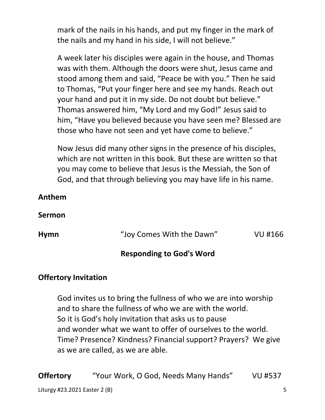mark of the nails in his hands, and put my finger in the mark of the nails and my hand in his side, I will not believe."

A week later his disciples were again in the house, and Thomas was with them. Although the doors were shut, Jesus came and stood among them and said, "Peace be with you." Then he said to Thomas, "Put your finger here and see my hands. Reach out your hand and put it in my side. Do not doubt but believe." Thomas answered him, "My Lord and my God!" Jesus said to him, "Have you believed because you have seen me? Blessed are those who have not seen and yet have come to believe."

Now Jesus did many other signs in the presence of his disciples, which are not written in this book. But these are written so that you may come to believe that Jesus is the Messiah, the Son of God, and that through believing you may have life in his name.

#### **Anthem**

#### **Sermon**

| <b>Hymn</b> | "Joy Comes With the Dawn" | VU #166 |
|-------------|---------------------------|---------|
|             |                           |         |

## **Responding to God's Word**

## **Offertory Invitation**

God invites us to bring the fullness of who we are into worship and to share the fullness of who we are with the world. So it is God's holy invitation that asks us to pause and wonder what we want to offer of ourselves to the world. Time? Presence? Kindness? Financial support? Prayers? We give as we are called, as we are able.

Liturgy #23.2021 Easter 2 (B) 5 **Offertory** "Your Work, O God, Needs Many Hands" VU #537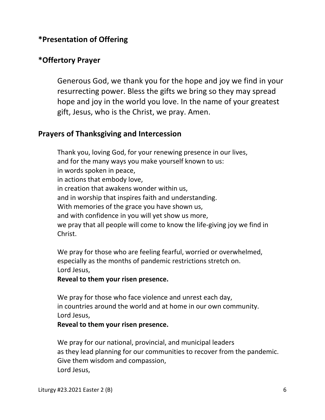# **\*Presentation of Offering**

#### **\*Offertory Prayer**

Generous God, we thank you for the hope and joy we find in your resurrecting power. Bless the gifts we bring so they may spread hope and joy in the world you love. In the name of your greatest gift, Jesus, who is the Christ, we pray. Amen.

#### **Prayers of Thanksgiving and Intercession**

Thank you, loving God, for your renewing presence in our lives, and for the many ways you make yourself known to us: in words spoken in peace, in actions that embody love, in creation that awakens wonder within us, and in worship that inspires faith and understanding. With memories of the grace you have shown us, and with confidence in you will yet show us more, we pray that all people will come to know the life-giving joy we find in Christ.

 We pray for those who are feeling fearful, worried or overwhelmed, especially as the months of pandemic restrictions stretch on. Lord Jesus,

#### **Reveal to them your risen presence.**

 We pray for those who face violence and unrest each day, in countries around the world and at home in our own community. Lord Jesus,

#### **Reveal to them your risen presence.**

 We pray for our national, provincial, and municipal leaders as they lead planning for our communities to recover from the pandemic. Give them wisdom and compassion, Lord Jesus,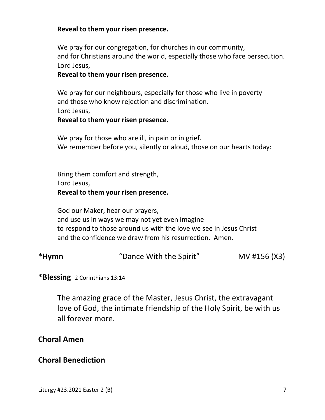#### **Reveal to them your risen presence.**

 We pray for our congregation, for churches in our community, and for Christians around the world, especially those who face persecution. Lord Jesus,

#### **Reveal to them your risen presence.**

 We pray for our neighbours, especially for those who live in poverty and those who know rejection and discrimination. Lord Jesus,

#### **Reveal to them your risen presence.**

We pray for those who are ill, in pain or in grief. We remember before you, silently or aloud, those on our hearts today:

 Bring them comfort and strength, Lord Jesus,  **Reveal to them your risen presence.** 

 God our Maker, hear our prayers, and use us in ways we may not yet even imagine to respond to those around us with the love we see in Jesus Christ and the confidence we draw from his resurrection. Amen.

| *Hymn | "Dance With the Spirit" | MV #156 (X3) |
|-------|-------------------------|--------------|
|       |                         |              |

#### **\*Blessing** 2 Corinthians 13:14

The amazing grace of the Master, Jesus Christ, the extravagant love of God, the intimate friendship of the Holy Spirit, be with us all forever more.

#### **Choral Amen**

#### **Choral Benediction**